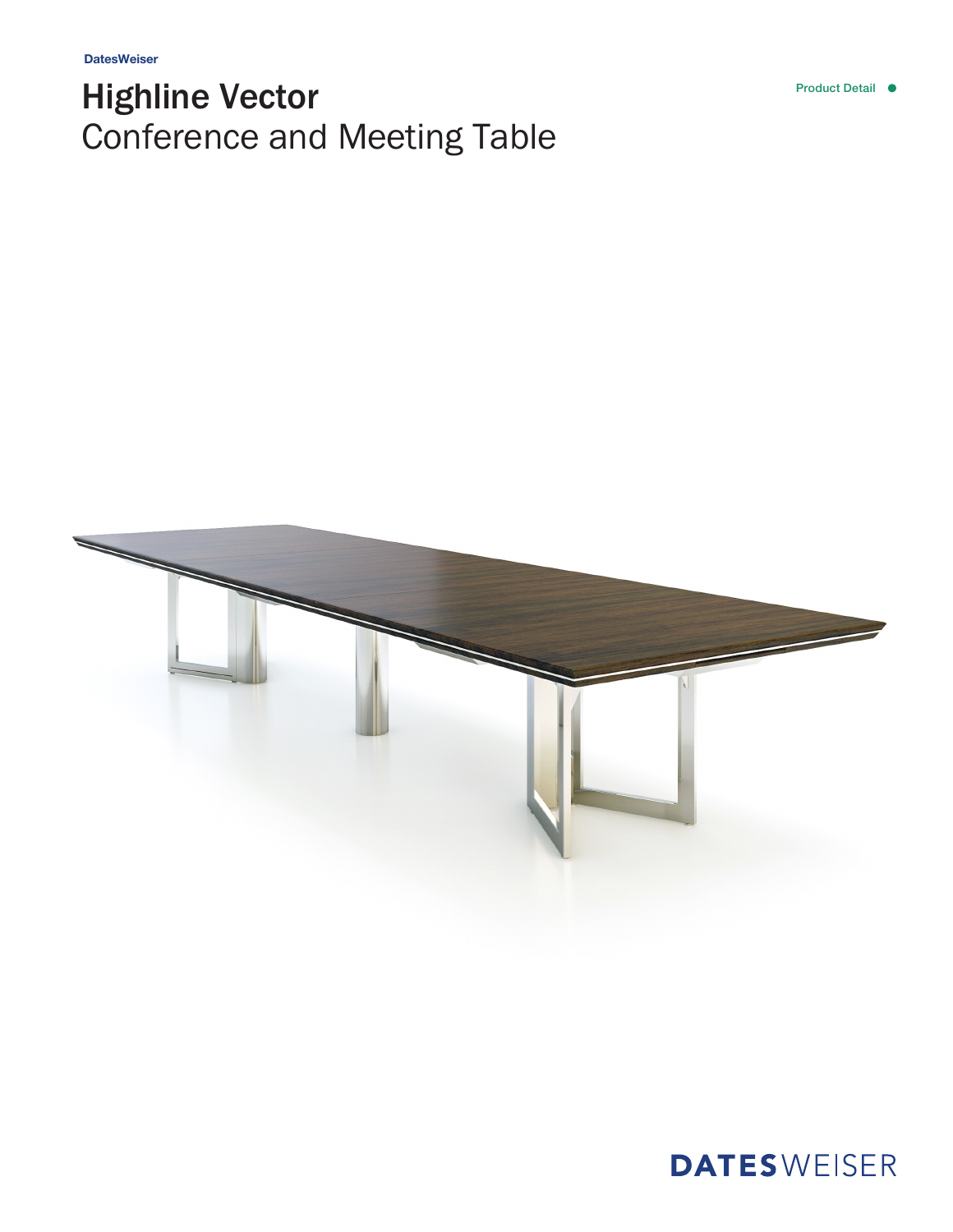**DatesWeiser** 

## Highline Vector Conference and Meeting Table





**DATESWEISER**